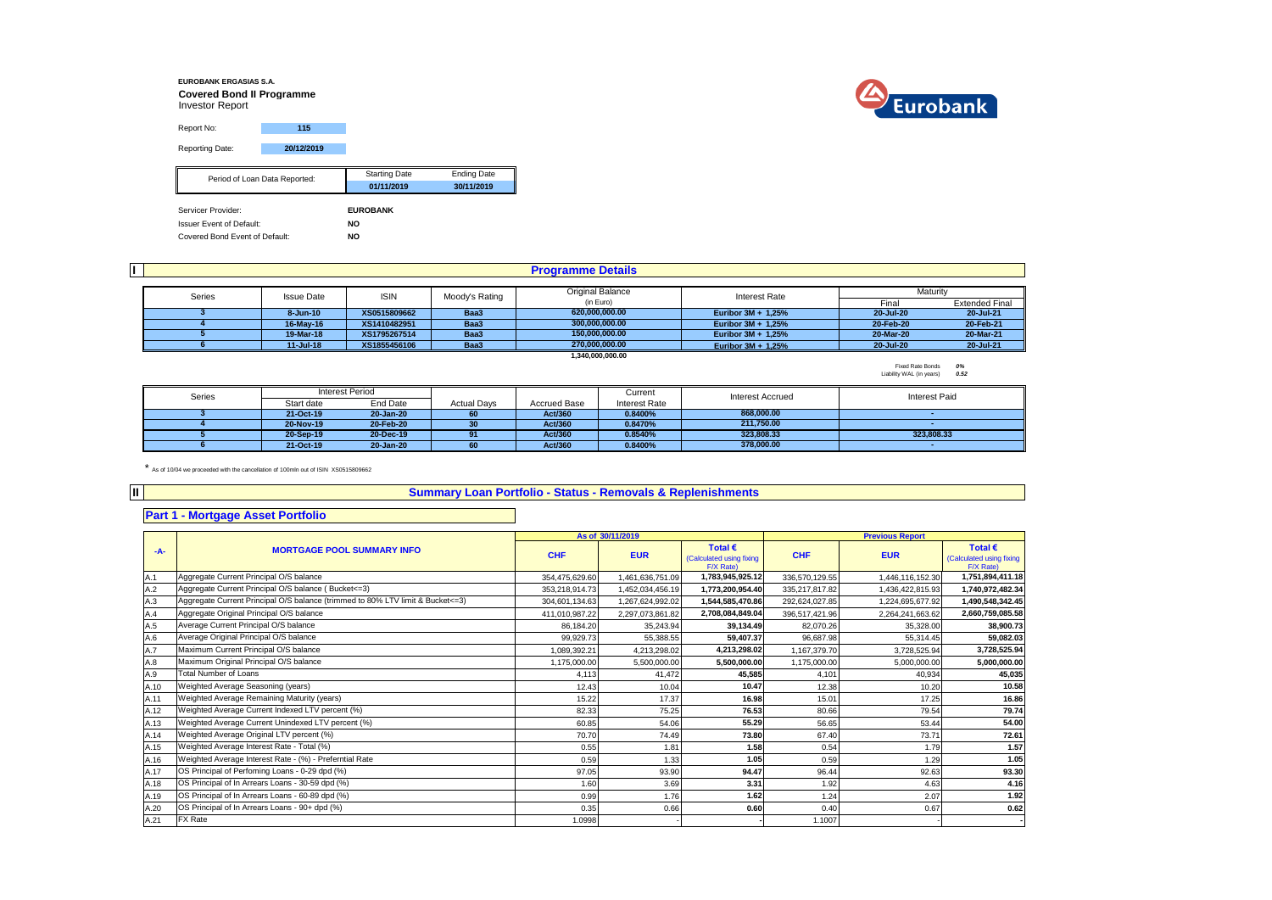#### **EUROBANK ERGASIAS S.A. Covered Bond II Programme** Investor Report Report No: **115** Reporting Date: **20/12/2019** Starting Date **Ending Date 01/11/2019 30/11/2019** Servicer Provider: **EUROBANK** Issuer Event of Default: **NO** Period of Loan Data Reported:

Covered Bond Event of Default: **NO**

|                                   |                   |                |                    | <b>Programme Details</b> |                      |           |                       |
|-----------------------------------|-------------------|----------------|--------------------|--------------------------|----------------------|-----------|-----------------------|
|                                   |                   |                |                    | <b>Original Balance</b>  |                      | Maturity  |                       |
| Series                            | <b>Issue Date</b> | <b>ISIN</b>    | Moody's Rating     | (in Euro)                | <b>Interest Rate</b> | Final     | <b>Extended Final</b> |
|                                   | 8-Jun-10          | XS0515809662   | Baa3               | 620.000.000.00           | Euribor 3M + 1,25%   | 20-Jul-20 | 20-Jul-21             |
|                                   | 16-May-16         | XS1410482951   | Baa3               | 300.000.000.00           | Euribor 3M + 1.25%   | 20-Feb-20 | 20-Feb-21             |
|                                   | 19-Mar-18         | XS1795267514   | Baa3               | 150.000.000.00           | Euribor 3M + 1.25%   | 20-Mar-20 | 20-Mar-21             |
| XS1855456106<br>Baa3<br>11-Jul-18 |                   | 270,000,000.00 | Euribor 3M + 1,25% | 20-Jul-20                | 20-Jul-21            |           |                       |
|                                   |                   |                |                    | 1.340.000.000.00         |                      |           |                       |

Fixed Rate Bonds *0%* Liability WAL (in years) *0.52*

| Series | <b>Interest Period</b> |           |                    |              | Current       | Interest Accrued | <b>Interest Paid</b> |
|--------|------------------------|-----------|--------------------|--------------|---------------|------------------|----------------------|
|        | Start date             | End Date  | <b>Actual Davs</b> | Accrued Base | Interest Rate |                  |                      |
|        | 21-Oct-19              | 20-Jan-20 | 60                 | Act/360      | 0.8400%       | 868.000.00       |                      |
|        | 20-Nov-19              | 20 Feb-20 | 30                 | Act/360      | 0.8470%       | 211.750.00       |                      |
|        | 20-Sep-19              | 20-Dec-19 |                    | Act/360      | 0.8540%       | 323.808.33       | 323.808.33           |
|        | 21-Oct-19              | 20-Jan-20 | 60                 | Act/360      | 0.8400%       | 378.000.00       |                      |

\* As of 10/04 we proceeded with the cancellation of 100mln out of ISIN XS0515809662

#### **Summary Loan Portfolio - Status - Removals & Replenishments**

## **Part 1 - Mortgage Asset Portfolio**

**II**

|       |                                                                                  |                | As of 30/11/2019 |                                                           |                | <b>Previous Report</b> |                                                           |
|-------|----------------------------------------------------------------------------------|----------------|------------------|-----------------------------------------------------------|----------------|------------------------|-----------------------------------------------------------|
| $-A-$ | <b>MORTGAGE POOL SUMMARY INFO</b>                                                | <b>CHF</b>     | <b>EUR</b>       | Total $\epsilon$<br>(Calculated using fixing<br>F/X Rate) | <b>CHF</b>     | <b>EUR</b>             | Total $\epsilon$<br>(Calculated using fixing<br>F/X Rate) |
| A.1   | Aggregate Current Principal O/S balance                                          | 354,475,629.60 | 1,461,636,751.09 | 1,783,945,925.12                                          | 336,570,129.55 | 1,446,116,152.30       | 1,751,894,411.18                                          |
| A.2   | Aggregate Current Principal O/S balance (Bucket <= 3)                            | 353,218,914.73 | 1,452,034,456.19 | 1,773,200,954.40                                          | 335,217,817.82 | 1,436,422,815.93       | 1,740,972,482.34                                          |
| A.3   | Aggregate Current Principal O/S balance (trimmed to 80% LTV limit & Bucket <= 3) | 304,601,134.63 | 1,267,624,992.02 | 1,544,585,470.86                                          | 292,624,027.85 | 1,224,695,677.92       | 1,490,548,342.45                                          |
| A.4   | Aggregate Original Principal O/S balance                                         | 411,010,987.22 | 2,297,073,861.82 | 2,708,084,849.04                                          | 396,517,421.96 | 2,264,241,663.62       | 2,660,759,085.58                                          |
| A.5   | Average Current Principal O/S balance                                            | 86.184.20      | 35,243.94        | 39.134.49                                                 | 82,070.26      | 35.328.00              | 38,900.73                                                 |
| A.6   | Average Original Principal O/S balance                                           | 99,929.73      | 55,388.55        | 59,407.37                                                 | 96,687.98      | 55.314.45              | 59,082.03                                                 |
| A.7   | Maximum Current Principal O/S balance                                            | 1,089,392.21   | 4,213,298.02     | 4,213,298.02                                              | 1,167,379.70   | 3,728,525.94           | 3,728,525.94                                              |
| A.8   | Maximum Original Principal O/S balance                                           | 1,175,000.00   | 5,500,000.00     | 5,500,000.00                                              | 1,175,000.00   | 5,000,000.00           | 5,000,000.00                                              |
| A.9   | <b>Total Number of Loans</b>                                                     | 4.113          | 41.472           | 45,585                                                    | 4,101          | 40.934                 | 45,035                                                    |
| A.10  | Weighted Average Seasoning (years)                                               | 12.43          | 10.04            | 10.47                                                     | 12.38          | 10.20                  | 10.58                                                     |
| A.11  | Weighted Average Remaining Maturity (years)                                      | 15.22          | 17.37            | 16.98                                                     | 15.01          | 17.25                  | 16.86                                                     |
| A.12  | Weighted Average Current Indexed LTV percent (%)                                 | 82.33          | 75.25            | 76.53                                                     | 80.66          | 79.54                  | 79.74                                                     |
| A.13  | Weighted Average Current Unindexed LTV percent (%)                               | 60.85          | 54.06            | 55.29                                                     | 56.65          | 53.44                  | 54.00                                                     |
| A.14  | Weighted Average Original LTV percent (%)                                        | 70.70          | 74.49            | 73.80                                                     | 67.40          | 73.71                  | 72.61                                                     |
| A.15  | Weighted Average Interest Rate - Total (%)                                       | 0.55           | 1.81             | 1.58                                                      | 0.54           | 1.79                   | 1.57                                                      |
| A.16  | Weighted Average Interest Rate - (%) - Preferntial Rate                          | 0.59           | 1.33             | 1.05                                                      | 0.59           | 1.29                   | 1.05                                                      |
| A.17  | OS Principal of Perfoming Loans - 0-29 dpd (%)                                   | 97.05          | 93.90            | 94.47                                                     | 96.44          | 92.63                  | 93.30                                                     |
| A.18  | OS Principal of In Arrears Loans - 30-59 dpd (%)                                 | 1.60           | 3.69             | 3.31                                                      | 1.92           | 4.63                   | 4.16                                                      |
| A.19  | OS Principal of In Arrears Loans - 60-89 dpd (%)                                 | 0.99           | 1.76             | 1.62                                                      | 1.24           | 2.07                   | 1.92                                                      |
| A.20  | OS Principal of In Arrears Loans - 90+ dpd (%)                                   | 0.35           | 0.66             | 0.60                                                      | 0.40           | 0.67                   | 0.62                                                      |
| A.21  | FX Rate                                                                          | 1.0998         |                  |                                                           | 1.1007         |                        |                                                           |

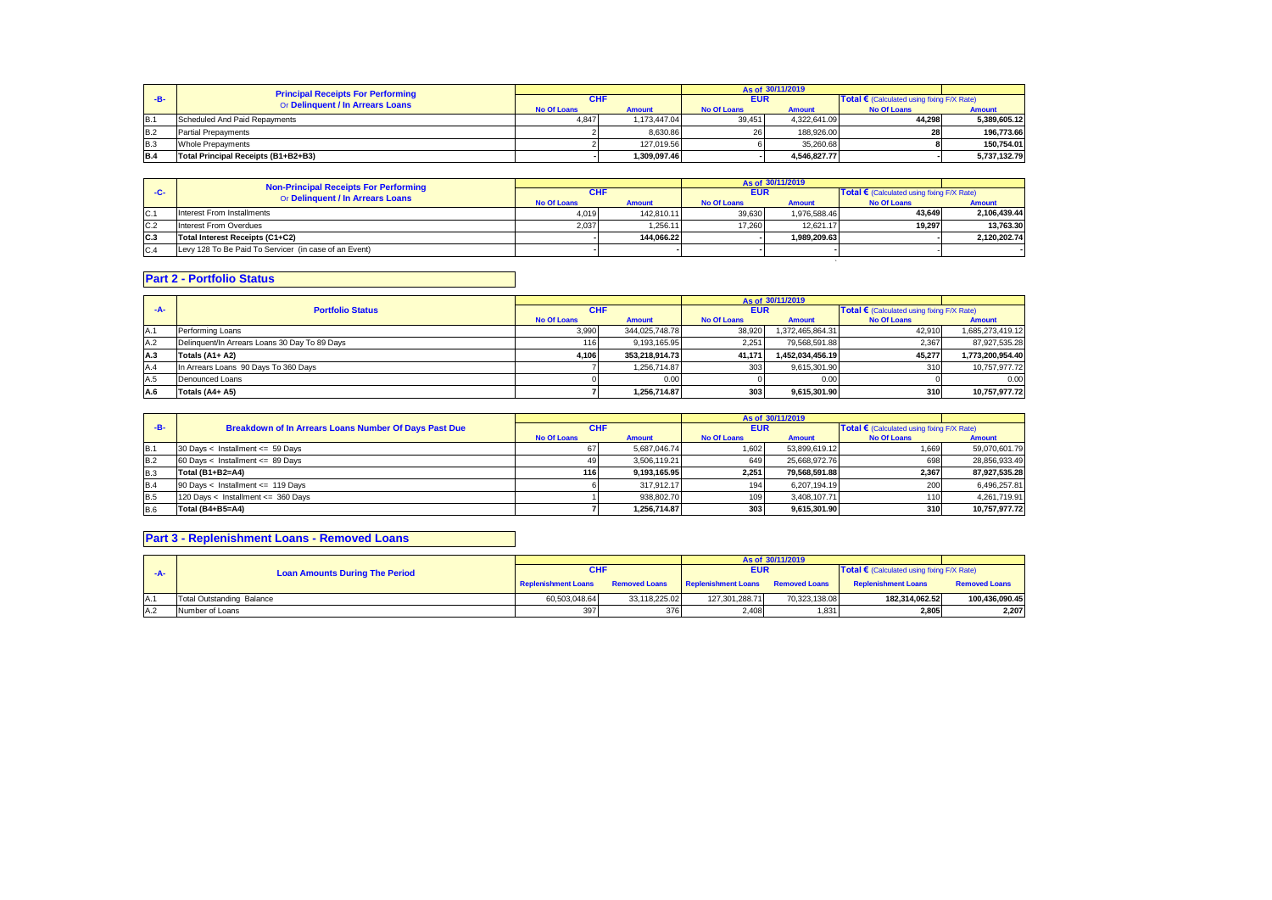|                | <b>Principal Receipts For Performing</b> |                    |               |                    | As of 30/11/2019 |                                              |               |
|----------------|------------------------------------------|--------------------|---------------|--------------------|------------------|----------------------------------------------|---------------|
| -R-            | Or Delinquent / In Arrears Loans         | <b>CHF</b>         |               | <b>EUR</b>         |                  | Total € (Calculated using fixing $F/X$ Rate) |               |
|                |                                          | <b>No Of Loans</b> | <b>Amount</b> | <b>No Of Loans</b> | <b>Amount</b>    | <b>No Of Loans</b>                           | <b>Amount</b> |
| IB.            | Scheduled And Paid Repayments            | 4.847              | 1.173.447.04  | 39.451             | 4.322.641.09     | 44.298                                       | 5.389.605.12  |
| <b>B.2</b>     | <b>Partial Prepayments</b>               |                    | 8.630.86      | 26                 | 188,926.00       |                                              | 196.773.66    |
| B <sub>3</sub> | <b>Whole Prepayments</b>                 |                    | 127.019.56    |                    | 35.260.68        |                                              | 150.754.01    |
| <b>B.4</b>     | Total Principal Receipts (B1+B2+B3)      |                    | 1.309.097.46  |                    | 4.546.827.77     |                                              | 5.737.132.79  |

|       | <b>Non-Principal Receipts For Performing</b>          |                    |               |                    | As of 30/11/2019 |                                                     |               |
|-------|-------------------------------------------------------|--------------------|---------------|--------------------|------------------|-----------------------------------------------------|---------------|
| $-C-$ | Or Delinquent / In Arrears Loans                      | <b>CHF</b>         |               | <b>EUR</b>         |                  | Total $\epsilon$ (Calculated using fixing F/X Rate) |               |
|       |                                                       | <b>No Of Loans</b> | <b>Amount</b> | <b>No Of Loans</b> | <b>Amount</b>    | <b>No Of Loans</b>                                  | <b>Amount</b> |
| C.1   | Interest From Installments                            | 4.019              | 142.810.11    | 39.630             | 1.976.588.46     | 43.649                                              | 2.106.439.44  |
| C.2   | Interest From Overdues                                | 2.037              | 1.256.11      | 17.260             | 12.621.17        | 19.297                                              | 13.763.30     |
| C.3   | Total Interest Receipts (C1+C2)                       |                    | 144.066.22    |                    | 1.989.209.63     |                                                     | 2.120.202.74  |
| C.4   | Levy 128 To Be Paid To Servicer (in case of an Event) |                    |               |                    |                  |                                                     |               |
|       |                                                       |                    |               |                    |                  |                                                     |               |

## **Part 2 - Portfolio Status**

|       |                                               |                    |                |                    | As of 30/11/2019 |                                            |                  |
|-------|-----------------------------------------------|--------------------|----------------|--------------------|------------------|--------------------------------------------|------------------|
| $-A-$ | <b>Portfolio Status</b>                       | <b>CHF</b>         |                | <b>EUR</b>         |                  | Total € (Calculated using fixing F/X Rate) |                  |
|       |                                               | <b>No Of Loans</b> | <b>Amount</b>  | <b>No Of Loans</b> | <b>Amount</b>    | <b>No Of Loans</b>                         | <b>Amount</b>    |
| A.1   | Performing Loans                              | 3.990              | 344.025.748.78 | 38.920             | 1,372,465,864.31 | 42.910                                     | 1,685,273,419.12 |
| A.2   | Delinquent/In Arrears Loans 30 Day To 89 Days | 116                | 9.193.165.95   | 2.251              | 79.568.591.88    | 2,367                                      | 87,927,535.28    |
| A.3   | Totals (A1+ A2)                               | 4.106              | 353.218.914.73 | 41.171             | 1.452.034.456.19 | 45.277                                     | 1,773,200,954.40 |
| A.4   | In Arrears Loans 90 Days To 360 Days          |                    | 1.256.714.87   | 303                | 9,615,301.90     | 310                                        | 10,757,977.72    |
| A.5   | Denounced Loans                               |                    | 0.00           |                    | 0.00             |                                            | 0.00             |
| A.6   | Totals (A4+ A5)                               |                    | 1.256.714.87   | 303                | 9.615.301.90     | 310                                        | 10.757.977.72    |

|            |                                                       |                    |               |                    | As of 30/11/2019 |                                                     |               |
|------------|-------------------------------------------------------|--------------------|---------------|--------------------|------------------|-----------------------------------------------------|---------------|
| $-B-$      | Breakdown of In Arrears Loans Number Of Days Past Due | <b>CHF</b>         |               | <b>EUR</b>         |                  | Total $\epsilon$ (Calculated using fixing F/X Rate) |               |
|            |                                                       | <b>No Of Loans</b> | <b>Amount</b> | <b>No Of Loans</b> | <b>Amount</b>    | <b>No Of Loans</b>                                  | <b>Amount</b> |
| <b>B.1</b> | 30 Days < Installment <= 59 Days                      |                    | 5.687.046.74  | 1.602              | 53.899.619.12    | 1,669                                               | 59,070,601.79 |
| <b>B.2</b> | 60 Days < Installment <= 89 Days                      |                    | 3.506.119.21  | 649                | 25.668.972.76    | 698                                                 | 28.856.933.49 |
| <b>B.3</b> | Total (B1+B2=A4)                                      | 116                | 9.193.165.95  | 2.251              | 79.568.591.88    | 2,367                                               | 87.927.535.28 |
| <b>B.4</b> | 90 Days < Installment <= 119 Days                     |                    | 317.912.17    | 194                | 6.207.194.19     | <b>200</b>                                          | 6,496,257.81  |
| <b>B.5</b> | 120 Days < Installment <= 360 Days                    |                    | 938.802.70    | 109                | 3.408.107.71     |                                                     | 4.261.719.91  |
| <b>B.6</b> | Total (B4+B5=A4)                                      |                    | 1.256.714.87  | 303                | 9.615.301.90     | 310                                                 | 10,757,977.72 |

# **Part 3 - Replenishment Loans - Removed Loans**

|      |                                       |                     |                      |                            | As of 30/11/2019     |                                                   |                      |
|------|---------------------------------------|---------------------|----------------------|----------------------------|----------------------|---------------------------------------------------|----------------------|
| -д-  | <b>Loan Amounts During The Period</b> | <b>CHF</b>          |                      | <b>EUR</b>                 |                      | <b>Total €</b> (Calculated using fixing F/X Rate) |                      |
|      |                                       | Replenishment Loans | <b>Removed Loans</b> | <b>Replenishment Loans</b> | <b>Removed Loans</b> | <b>Replenishment Loans</b>                        | <b>Removed Loans</b> |
| IA.1 | <b>Total Outstanding Balance</b>      | 60.503.048.64       | 33.118.225.02        | 127.301.288.71             | 70.323.138.08        | 182.314.062.52                                    | 100.436.090.45       |
| A.2  | Number of Loans                       | 397                 | 376                  | 2.408                      | 1,831                | 2,805                                             | 2,207                |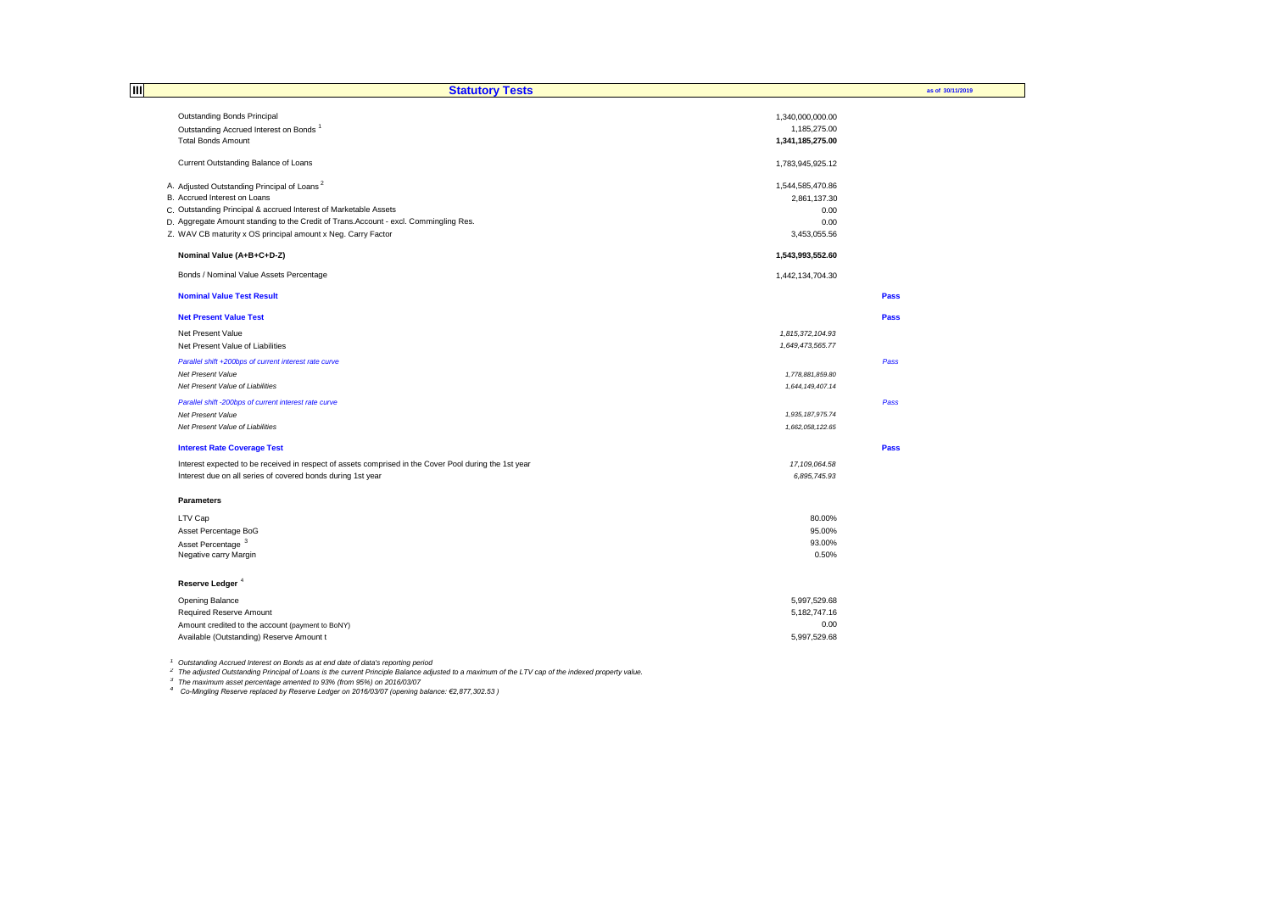| 目<br><b>Statutory Tests</b>                                                                           |                  | as of 30/11/2019 |
|-------------------------------------------------------------------------------------------------------|------------------|------------------|
|                                                                                                       |                  |                  |
| Outstanding Bonds Principal                                                                           | 1,340,000,000.00 |                  |
| Outstanding Accrued Interest on Bonds <sup>1</sup>                                                    | 1,185,275.00     |                  |
| <b>Total Bonds Amount</b>                                                                             | 1,341,185,275.00 |                  |
| Current Outstanding Balance of Loans                                                                  | 1,783,945,925.12 |                  |
| A. Adjusted Outstanding Principal of Loans <sup>2</sup>                                               | 1,544,585,470.86 |                  |
| B. Accrued Interest on Loans                                                                          | 2,861,137.30     |                  |
| C. Outstanding Principal & accrued Interest of Marketable Assets                                      | 0.00             |                  |
| D. Aggregate Amount standing to the Credit of Trans. Account - excl. Commingling Res.                 | 0.00             |                  |
| Z. WAV CB maturity x OS principal amount x Neg. Carry Factor                                          | 3,453,055.56     |                  |
| Nominal Value (A+B+C+D-Z)                                                                             | 1,543,993,552.60 |                  |
| Bonds / Nominal Value Assets Percentage                                                               | 1,442,134,704.30 |                  |
| <b>Nominal Value Test Result</b>                                                                      |                  | <b>Pass</b>      |
| <b>Net Present Value Test</b>                                                                         |                  | Pass             |
| Net Present Value                                                                                     | 1,815,372,104.93 |                  |
| Net Present Value of Liabilities                                                                      | 1,649,473,565.77 |                  |
| Parallel shift +200bps of current interest rate curve                                                 |                  | Pass             |
| Net Present Value                                                                                     | 1,778,881,859.80 |                  |
| Net Present Value of Liabilities                                                                      | 1,644,149,407.14 |                  |
| Parallel shift -200bps of current interest rate curve                                                 |                  | Pass             |
| Net Present Value                                                                                     | 1,935,187,975.74 |                  |
| Net Present Value of Liabilities                                                                      | 1,662,058,122.65 |                  |
| <b>Interest Rate Coverage Test</b>                                                                    |                  | Pass             |
| Interest expected to be received in respect of assets comprised in the Cover Pool during the 1st year | 17, 109, 064.58  |                  |
| Interest due on all series of covered bonds during 1st year                                           | 6,895,745.93     |                  |
| <b>Parameters</b>                                                                                     |                  |                  |
| LTV Cap                                                                                               | 80.00%           |                  |
| Asset Percentage BoG                                                                                  | 95.00%           |                  |
| Asset Percentage <sup>3</sup>                                                                         | 93.00%           |                  |
| Negative carry Margin                                                                                 | 0.50%            |                  |
| Reserve Ledger <sup>4</sup>                                                                           |                  |                  |
| Opening Balance                                                                                       | 5,997,529.68     |                  |
| Required Reserve Amount                                                                               | 5,182,747.16     |                  |
| Amount credited to the account (payment to BoNY)                                                      | 0.00             |                  |
| Available (Outstanding) Reserve Amount t                                                              | 5,997,529.68     |                  |
|                                                                                                       |                  |                  |
|                                                                                                       |                  |                  |

<sup>1</sup> Outstanding Accrued Interest on Bonds as at end date of data's reporting period<br><sup>2</sup> The adjusted Outstanding Principal of Loans is the current Principle Balance adjusted to a maximum of the LTV cap of the indexed prope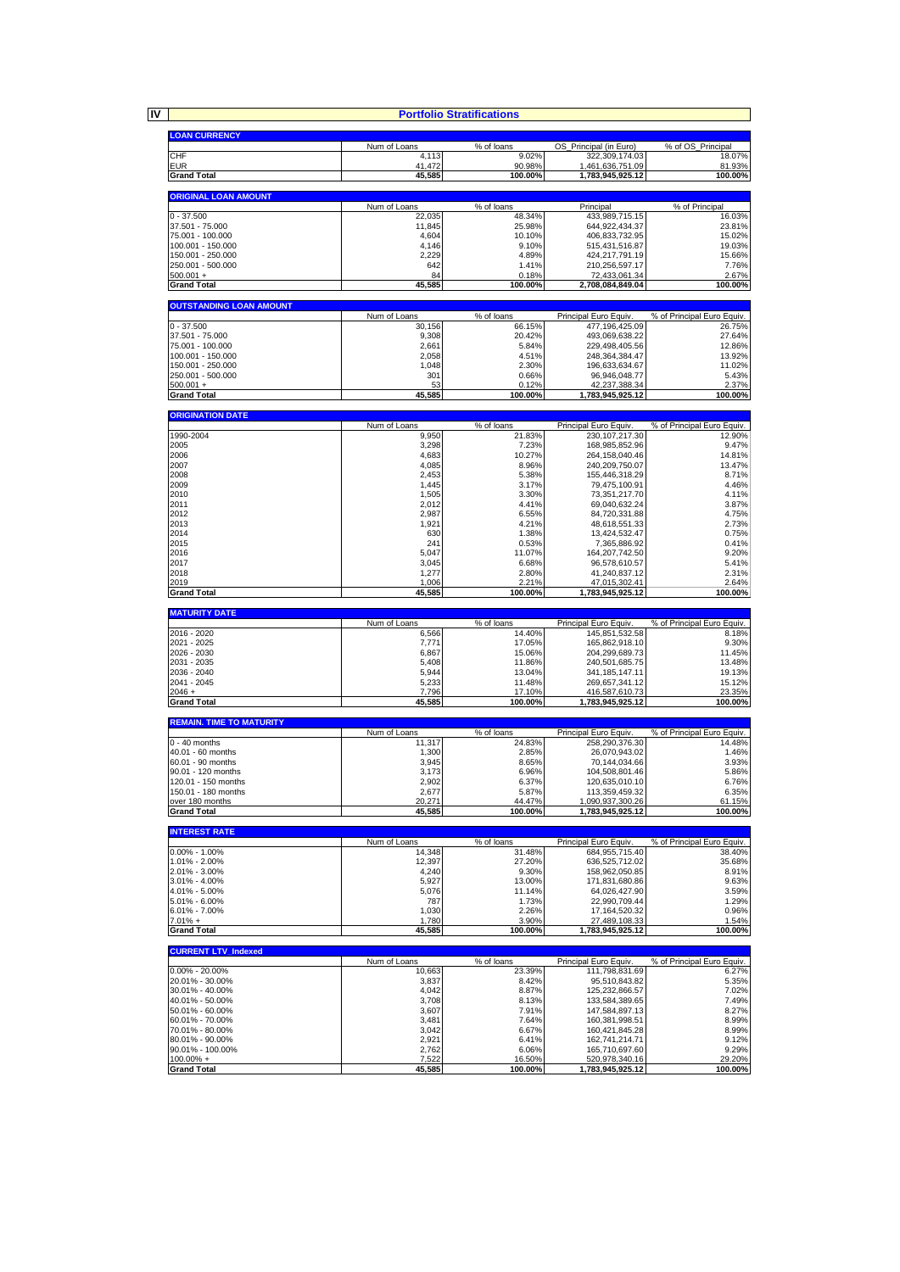**IV**

| <b>Portfolio Stratifications</b>           |                  |                             |                                         |                            |  |  |  |  |  |
|--------------------------------------------|------------------|-----------------------------|-----------------------------------------|----------------------------|--|--|--|--|--|
| <b>LOAN CURRENCY</b>                       |                  |                             |                                         |                            |  |  |  |  |  |
|                                            | Num of Loans     | % of loans                  | OS Principal (in Euro)                  | % of OS Principal          |  |  |  |  |  |
| CHF<br><b>EUR</b>                          | 4,113<br>41,472  | 9.02%<br>90.98%             | 322,309,174.03<br>1,461,636,751.09      | 18.07%<br>81.93%           |  |  |  |  |  |
| <b>Grand Total</b>                         | 45,585           | 100.00%                     | 1,783,945,925.12                        | 100.00%                    |  |  |  |  |  |
| <b>ORIGINAL LOAN AMOUNT</b>                |                  |                             |                                         |                            |  |  |  |  |  |
|                                            | Num of Loans     | % of loans                  | Principal                               | % of Principal             |  |  |  |  |  |
| $0 - 37.500$                               | 22,035           | 48.34%                      | 433,989,715.15                          | 16.03%                     |  |  |  |  |  |
| 37.501 - 75.000<br>75.001 - 100.000        | 11,845<br>4,604  | 25.98%<br>10.10%            | 644,922,434.37<br>406,833,732.95        | 23.81%<br>15.02%           |  |  |  |  |  |
| 100.001 - 150.000                          | 4,146            | 9.10%                       | 515,431,516.87                          | 19.03%                     |  |  |  |  |  |
| 150.001 - 250.000<br>250.001 - 500.000     | 2,229<br>642     | 4.89%<br>1.41%              | 424,217,791.19                          | 15.66%<br>7.76%            |  |  |  |  |  |
| $500.001 +$                                | 84               | 0.18%                       | 210,256,597.17<br>72,433,061.34         | 2.67%                      |  |  |  |  |  |
| <b>Grand Total</b>                         | 45,585           | 100.00%                     | 2,708,084,849.04                        | 100.00%                    |  |  |  |  |  |
| <b>OUTSTANDING LOAN AMOUNT</b>             |                  |                             |                                         |                            |  |  |  |  |  |
|                                            | Num of Loans     | $\overline{\%}$ of loans    | Principal Euro Equiv.                   | % of Principal Euro Equiv. |  |  |  |  |  |
| $0 - 37.500$                               | 30,156           | 66.15%                      | 477,196,425.09                          | 26.75%                     |  |  |  |  |  |
| 37.501 - 75.000<br>75.001 - 100.000        | 9,308<br>2,661   | 20.42%<br>5.84%             | 493,069,638.22<br>229,498,405.56        | 27.64%<br>12.86%           |  |  |  |  |  |
| 100.001 - 150.000                          | 2,058            | 4.51%                       | 248, 364, 384. 47                       | 13.92%                     |  |  |  |  |  |
| 150.001 - 250.000                          | 1,048            | 2.30%                       | 196,633,634.67                          | 11.02%                     |  |  |  |  |  |
| 250.001 - 500.000<br>$500.001 +$           | 301<br>53        | 0.66%<br>0.12%              | 96,946,048.77<br>42,237,388.34          | 5.43%<br>2.37%             |  |  |  |  |  |
| <b>Grand Total</b>                         | 45,585           | 100.00%                     | 1,783,945,925.12                        | 100.00%                    |  |  |  |  |  |
| <b>ORIGINATION DATE</b>                    |                  |                             |                                         |                            |  |  |  |  |  |
|                                            | Num of Loans     | % of loans                  | Principal Euro Equiv.                   | % of Principal Euro Equiv. |  |  |  |  |  |
| 1990-2004                                  | 9,950            | 21.83%                      | 230, 107, 217.30                        | 12.90%                     |  |  |  |  |  |
| 2005<br>2006                               | 3,298<br>4,683   | 7.23%<br>10.27%             | 168,985,852.96<br>264, 158, 040. 46     | 9.47%<br>14.81%            |  |  |  |  |  |
| 2007                                       | 4,085            | 8.96%                       | 240,209,750.07                          | 13.47%                     |  |  |  |  |  |
| 2008                                       | 2,453            | 5.38%                       | 155,446,318.29                          | 8.71%                      |  |  |  |  |  |
| 2009<br>2010                               | 1,445<br>1,505   | 3.17%<br>3.30%              | 79,475,100.91<br>73,351,217.70          | 4.46%<br>4.11%             |  |  |  |  |  |
| 2011                                       | 2,012            | 4.41%                       | 69,040,632.24                           | 3.87%                      |  |  |  |  |  |
| 2012                                       | 2,987            | 6.55%                       | 84,720,331.88                           | 4.75%                      |  |  |  |  |  |
| 2013<br>2014                               | 1,921<br>630     | 4.21%<br>1.38%              | 48,618,551.33<br>13,424,532.47          | 2.73%<br>0.75%             |  |  |  |  |  |
| 2015                                       | 241              | 0.53%                       | 7,365,886.92                            | 0.41%                      |  |  |  |  |  |
| 2016                                       | 5,047            | 11.07%                      | 164,207,742.50                          | 9.20%                      |  |  |  |  |  |
| 2017<br>2018                               | 3,045<br>1,277   | 6.68%<br>2.80%              | 96,578,610.57<br>41,240,837.12          | 5.41%<br>2.31%             |  |  |  |  |  |
| 2019                                       | 1,006            | 2.21%                       | 47,015,302.41                           | 2.64%                      |  |  |  |  |  |
| <b>Grand Total</b>                         | 45,585           | 100.00%                     | 1,783,945,925.12                        | 100.00%                    |  |  |  |  |  |
|                                            |                  |                             |                                         |                            |  |  |  |  |  |
| <b>MATURITY DATE</b>                       |                  |                             |                                         |                            |  |  |  |  |  |
|                                            | Num of Loans     | % of loans                  | Principal Euro Equiv.                   | % of Principal Euro Equiv. |  |  |  |  |  |
| 2016 - 2020<br>2021 - 2025                 | 6,566<br>7,771   | 14.40%<br>17.05%            | 145,851,532.58<br>165,862,918.10        | 8.18%<br>9.30%             |  |  |  |  |  |
| 2026 - 2030                                | 6,867            | 15.06%                      | 204,299,689.73                          | 11.45%                     |  |  |  |  |  |
| 2031 - 2035                                | 5,408            | 11.86%                      | 240,501,685.75                          | 13.48%                     |  |  |  |  |  |
| 2036 - 2040<br>2041 - 2045                 | 5,944<br>5,233   | 13.04%<br>11.48%            | 341, 185, 147. 11<br>269,657,341.12     | 19.13%<br>15.12%           |  |  |  |  |  |
| $2046 +$                                   | 7,796            | 17.10%                      | 416,587,610.73                          | 23.35%                     |  |  |  |  |  |
| <b>Grand Total</b>                         | 45,585           | 100.00%                     | 1,783,945,925.12                        | 100.00%                    |  |  |  |  |  |
| <b>REMAIN. TIME TO MATURITY</b>            |                  |                             |                                         |                            |  |  |  |  |  |
| $0 - 40$ months                            | Num of Loans     | % of loans                  | Principal Euro Equiv.                   | % of Principal Euro Equiv. |  |  |  |  |  |
| 40.01 - 60 months                          | 11,317<br>1,300  | 24.83%<br>2.85%             | 258,290,376.30<br>26,070,943.02         | 14.48%<br>1.46%            |  |  |  |  |  |
| 60.01 - 90 months                          | 3,945            | 8.65%                       | 70,144,034.66                           | 3.93%                      |  |  |  |  |  |
| 90.01 - 120 months                         | 3,173            | 6.96%                       | 104,508,801.46                          | 5.86%                      |  |  |  |  |  |
| 120.01 - 150 months<br>150.01 - 180 months | 2,902<br>2,677   | 6.37%<br>5.87%              | 120,635,010.10<br>113,359,459.32        | 6.76%<br>6.35%             |  |  |  |  |  |
| over 180 months                            | 20,271           | 44.47%                      | 1,090,937,300.26                        | 61.15%                     |  |  |  |  |  |
| <b>Grand Total</b>                         | 45,585           | 100.00%                     | 1,783,945,925.12                        | 100.00%                    |  |  |  |  |  |
| <b>INTEREST RATE</b>                       |                  |                             |                                         |                            |  |  |  |  |  |
|                                            | Num of Loans     | % of loans                  | Principal Euro Equiv.                   | % of Principal Euro Equiv. |  |  |  |  |  |
| $0.00\% - 1.00\%$<br>1.01% - 2.00%         | 14,348<br>12,397 | 31.48%<br>27.20%            | 684, 955, 715.40<br>636,525,712.02      | 38.40%<br>35.68%           |  |  |  |  |  |
| 2.01% - 3.00%                              | 4,240            | 9.30%                       | 158,962,050.85                          | 8.91%                      |  |  |  |  |  |
| 3.01% - 4.00%                              | 5,927            | 13.00%                      | 171,831,680.86                          | 9.63%                      |  |  |  |  |  |
| 4.01% - 5.00%<br>5.01% - 6.00%             | 5,076<br>787     | 11.14%<br>1.73%             | 64,026,427.90<br>22,990,709.44          | 3.59%<br>1.29%             |  |  |  |  |  |
| $6.01\% - 7.00\%$                          | 1,030            | 2.26%                       | 17, 164, 520. 32                        | 0.96%                      |  |  |  |  |  |
| $7.01% +$<br><b>Grand Total</b>            | 1,780<br>45,585  | 3.90%<br>100.00%            | 27,489,108.33<br>1,783,945,925.12       | 1.54%<br>100.00%           |  |  |  |  |  |
|                                            |                  |                             |                                         |                            |  |  |  |  |  |
| <b>CURRENT LTV_Indexed</b>                 | Num of Loans     |                             |                                         | % of Principal Euro Equiv. |  |  |  |  |  |
| $0.00\% - 20.00\%$                         | 10.663           | $\sqrt%$ of loans<br>23.39% | Principal Euro Equiv.<br>111,798,831.69 | 6.27%                      |  |  |  |  |  |
| 20.01% - 30.00%                            | 3,837            | 8.42%                       | 95,510,843.82                           | 5.35%                      |  |  |  |  |  |
| 30.01% - 40.00%                            | 4,042            | 8.87%                       | 125,232,866.57                          | 7.02%<br>7.49%             |  |  |  |  |  |
| 40.01% - 50.00%<br>50.01% - 60.00%         | 3,708<br>3,607   | 8.13%<br>7.91%              | 133,584,389.65<br>147,584,897.13        | 8.27%                      |  |  |  |  |  |
| 60.01% - 70.00%                            | 3,481            | 7.64%                       | 160,381,998.51                          | 8.99%                      |  |  |  |  |  |
| 70.01% - 80.00%                            | 3,042            | 6.67%                       | 160,421,845.28                          | 8.99%                      |  |  |  |  |  |
| 80.01% - 90.00%<br>90.01% - 100.00%        | 2,921<br>2,762   | 6.41%<br>6.06%              | 162,741,214.71<br>165,710,697.60        | 9.12%<br>9.29%             |  |  |  |  |  |
| $100.00\% +$<br><b>Grand Total</b>         | 7,522<br>45,585  | 16.50%<br>100.00%           | 520,978,340.16<br>1,783,945,925.12      | 29.20%<br>100.00%          |  |  |  |  |  |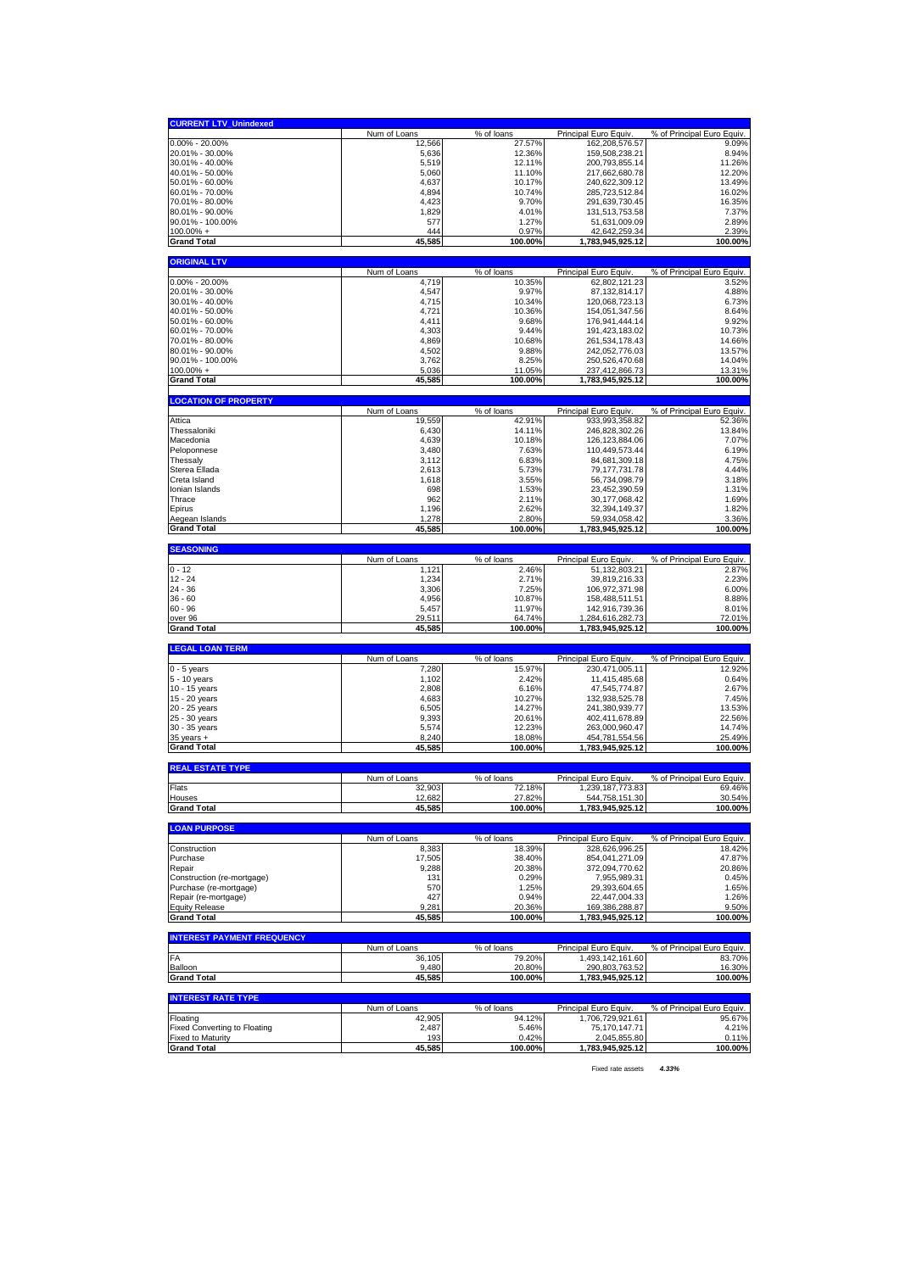| <b>CURRENT LTV_Unindexed</b>                                    |                        |                  |                                        |                            |
|-----------------------------------------------------------------|------------------------|------------------|----------------------------------------|----------------------------|
|                                                                 | Num of Loans           | % of loans       | Principal Euro Equiv.                  | % of Principal Euro Equiv. |
| $0.00\% - 20.00\%$                                              | 12,566                 | 27.57%           | 162,208,576.57                         | 9.09%                      |
| 20.01% - 30.00%<br>30.01% - 40.00%                              | 5,636<br>5,519         | 12.36%<br>12.11% | 159,508,238.21<br>200,793,855.14       | 8.94%<br>11.26%            |
| 40.01% - 50.00%                                                 | 5,060                  | 11.10%           | 217,662,680.78                         | 12.20%                     |
| 50.01% - 60.00%                                                 | 4,637                  | 10.17%           | 240,622,309.12                         | 13.49%                     |
| 60.01% - 70.00%                                                 | 4,894                  | 10.74%           | 285,723,512.84                         | 16.02%                     |
| 70.01% - 80.00%<br>80.01% - 90.00%                              | 4,423<br>1,829         | 9.70%<br>4.01%   | 291,639,730.45<br>131,513,753.58       | 16.35%<br>7.37%            |
| 90.01% - 100.00%                                                | 577                    | 1.27%            | 51,631,009.09                          | 2.89%                      |
| $100.00\% +$                                                    | 444                    | 0.97%            | 42,642,259.34                          | 2.39%                      |
| <b>Grand Total</b>                                              | 45,585                 | 100.00%          | 1,783,945,925.12                       | 100.00%                    |
| <b>ORIGINAL LTV</b>                                             |                        |                  |                                        |                            |
|                                                                 | Num of Loans           | % of loans       | Principal Euro Equiv.                  | % of Principal Euro Equiv. |
| 0.00% - 20.00%                                                  | 4,719                  | 10.35%           | 62,802,121.23                          | 3.52%                      |
| 20.01% - 30.00%<br>30.01% - 40.00%                              | 4,547<br>4,715         | 9.97%<br>10.34%  | 87, 132, 814. 17                       | 4.88%<br>6.73%             |
| 40.01% - 50.00%                                                 | 4,721                  | 10.36%           | 120,068,723.13<br>154,051,347.56       | 8.64%                      |
| 50.01% - 60.00%                                                 | 4,411                  | 9.68%            | 176,941,444.14                         | 9.92%                      |
| 60.01% - 70.00%                                                 | 4,303                  | 9.44%            | 191,423,183.02                         | 10.73%                     |
| 70.01% - 80.00%                                                 | 4,869                  | 10.68%           | 261,534,178.43                         | 14.66%                     |
| 80.01% - 90.00%                                                 | 4,502                  | 9.88%            | 242,052,776.03                         | 13.57%                     |
| 90.01% - 100.00%<br>$100.00\%$ +                                | 3,762<br>5,036         | 8.25%<br>11.05%  | 250,526,470.68<br>237,412,866.73       | 14.04%<br>13.31%           |
| <b>Grand Total</b>                                              | 45,585                 | 100.00%          | 1,783,945,925.12                       | 100.00%                    |
|                                                                 |                        |                  |                                        |                            |
| <b>LOCATION OF PROPERTY</b>                                     |                        | % of loans       |                                        | % of Principal Euro Equiv. |
| Attica                                                          | Num of Loans<br>19,559 | 42.91%           | Principal Euro Equiv<br>933,993,358.82 | 52.36%                     |
| Thessaloniki                                                    | 6,430                  | 14.11%           | 246,828,302.26                         | 13.84%                     |
| Macedonia                                                       | 4,639                  | 10.18%           | 126, 123, 884. 06                      | 7.07%                      |
| Peloponnese                                                     | 3,480                  | 7.63%            | 110,449,573.44                         | 6.19%                      |
| Thessaly                                                        | 3,112                  | 6.83%            | 84,681,309.18                          | 4.75%                      |
| Sterea Ellada                                                   | 2,613                  | 5.73%            | 79, 177, 731. 78                       | 4.44%                      |
| Creta Island<br>Ionian Islands                                  | 1,618<br>698           | 3.55%<br>1.53%   | 56,734,098.79<br>23,452,390.59         | 3.18%<br>1.31%             |
| Thrace                                                          | 962                    | 2.11%            | 30,177,068.42                          | 1.69%                      |
| Epirus                                                          | 1,196                  | 2.62%            | 32, 394, 149. 37                       | 1.82%                      |
| Aegean Islands                                                  | 1,278                  | 2.80%            | 59,934,058.42                          | 3.36%                      |
| <b>Grand Total</b>                                              | 45,585                 | 100.00%          | 1,783,945,925.12                       | 100.00%                    |
| <b>SEASONING</b>                                                |                        |                  |                                        |                            |
|                                                                 | Num of Loans           | % of loans       | Principal Euro Equiv.                  | % of Principal Euro Equiv. |
| $0 - 12$                                                        | 1,121                  | 2.46%            | 51, 132, 803. 21                       | 2.87%                      |
|                                                                 |                        |                  |                                        |                            |
| $12 - 24$                                                       | 1,234                  | 2.71%            | 39,819,216.33                          | 2.23%                      |
| 24 - 36                                                         | 3,306                  | 7.25%            | 106,972,371.98                         | 6.00%                      |
| $36 - 60$<br>$60 - 96$                                          | 4,956                  | 10.87%           | 158,488,511.51                         | 8.88%<br>8.01%             |
| over 96                                                         | 5,457<br>29,511        | 11.97%<br>64.74% | 142,916,739.36<br>1,284,616,282.73     | 72.01%                     |
| <b>Grand Total</b>                                              | 45,585                 | 100.00%          | 1,783,945,925.12                       | 100.00%                    |
|                                                                 |                        |                  |                                        |                            |
| <b>LEGAL LOAN TERM</b>                                          | Num of Loans           | % of loans       | Principal Euro Equiv.                  | % of Principal Euro Equiv. |
| $0 - 5$ years                                                   | 7,280                  | 15.97%           | 230,471,005.11                         | 12.92%                     |
| 5 - 10 years                                                    | 1,102                  | 2.42%            | 11,415,485.68                          | 0.64%                      |
| 10 - 15 years                                                   | 2,808                  | 6.16%            | 47,545,774.87                          | 2.67%                      |
| 15 - 20 years                                                   | 4,683<br>6,505         | 10.27%<br>14.27% | 132,938,525.78                         | 7.45%<br>13.53%            |
| 20 - 25 years<br>25 - 30 years                                  | 9,393                  | 20.61%           | 241,380,939.77<br>402,411,678.89       | 22.56%                     |
| 30 - 35 years                                                   | 5,574                  | 12.23%           | 263,000,960.47                         | 14.74%                     |
| $35$ years $+$                                                  | 8,240                  | 18.08%           | 454,781,554.56                         | 25.49%                     |
| <b>Grand Total</b>                                              | 45,585                 | 100.00%          | 1,783,945,925.12                       | 100.00%                    |
| <b>REAL ESTATE TYPE</b>                                         |                        |                  |                                        |                            |
|                                                                 | Num of Loans           | % of loans       | Principal Euro Equiv                   | % of Principal Euro Equiv. |
| Flats                                                           | 32,903                 | 72.18%           | 1,239,187,773.83                       | 69.46%                     |
| Houses<br><b>Grand Total</b>                                    | 12,682                 | 27.82%           | 544,758,151.30<br>1,783,945,925.12     | 30.54%<br>100.00%          |
|                                                                 | 45,585                 | 100.00%          |                                        |                            |
| <b>LOAN PURPOSE</b>                                             |                        |                  |                                        |                            |
|                                                                 | Num of Loans           | % of loans       | Principal Euro Equiv.                  | % of Principal Euro Equiv. |
| Construction<br>Purchase                                        | 8,383                  | 18.39%           | 328,626,996.25<br>854,041,271.09       | 18.42%<br>47.87%           |
| Repair                                                          | 17,505<br>9,288        | 38.40%<br>20.38% | 372,094,770.62                         | 20.86%                     |
| Construction (re-mortgage)                                      | 131                    | 0.29%            | 7,955,989.31                           | 0.45%                      |
| Purchase (re-mortgage)                                          | 570                    | 1.25%            | 29,393,604.65                          | 1.65%                      |
| Repair (re-mortgage)                                            | 427                    | 0.94%            | 22,447,004.33                          | 1.26%                      |
| <b>Equity Release</b>                                           | 9,281<br>45,585        | 20.36%           | 169,386,288.87                         | 9.50%<br>100.00%           |
| <b>Grand Total</b>                                              |                        | 100.00%          | 1,783,945,925.12                       |                            |
| <b>INTEREST PAYMENT FREQUENCY</b>                               |                        |                  |                                        |                            |
|                                                                 | Num of Loans           | % of loans       | Principal Euro Equiv                   | % of Principal Euro Equiv. |
| FA<br>Balloon                                                   | 36,105<br>9,480        | 79.20%<br>20.80% | 1,493,142,161.60<br>290,803,763.52     | 83.70%<br>16.30%           |
| <b>Grand Total</b>                                              | 45,585                 | 100.00%          | 1,783,945,925.12                       | 100.00%                    |
|                                                                 |                        |                  |                                        |                            |
| <b>INTEREST RATE TYPE</b>                                       | Num of Loans           | % of loans       | Principal Euro Equiv.                  | % of Principal Euro Equiv. |
| Floating                                                        | 42,905                 | 94.12%           | 1,706,729,921.61                       | 95.67%                     |
| <b>Fixed Converting to Floating</b><br><b>Fixed to Maturity</b> | 2,487<br>193           | 5.46%<br>0.42%   | 75,170,147.71<br>2,045,855.80          | 4.21%<br>0.11%             |

Fixed rate assets *4.33%*